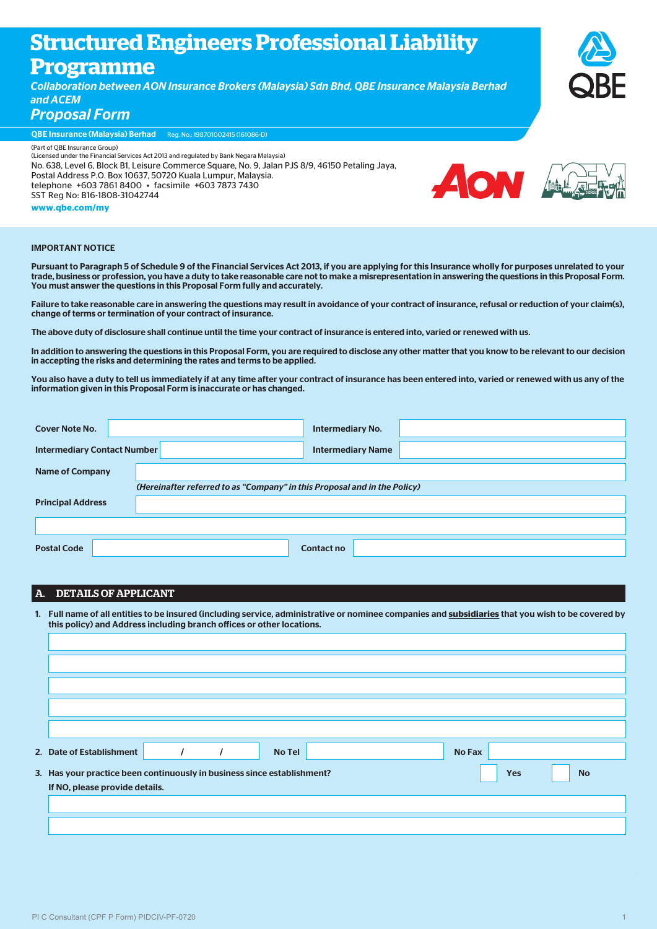# **Structured Engineers Professional Liability**

# **Programme**

*Collaboration between AON Insurance Brokers (Malaysia) Sdn Bhd, QBE Insurance Malaysia Berhad and ACEM* 

*Proposal Form*

QBE Insurance (Malaysia) Berhad Reg. No.: 198701002415 (161086-D)

(Part of QBE Insurance Group) (Licensed under the Financial Services Act 2013 and regulated by Bank Negara Malaysia) No. 638, Level 6, Block B1, Leisure Commerce Square, No. 9, Jalan PJS 8/9, 46150 Petaling Jaya, Postal Address P.O. Box 10637, 50720 Kuala Lumpur, Malaysia. telephone +603 7861 8400 • facsimile +603 7873 7430 SST Reg No: B16-1808-31042744 **www.qbe.com/my** 



#### IMPORTANT NOTICE

Pursuant to Paragraph 5 of Schedule 9 of the Financial Services Act 2013, if you are applying for this Insurance wholly for purposes unrelated to your trade, business or profession, you have a duty to take reasonable care not to make a misrepresentation in answering the questions in this Proposal Form. You must answer the questions in this Proposal Form fully and accurately.

Failure to take reasonable care in answering the questions may result in avoidance of your contract of insurance, refusal or reduction of your claim(s), change of terms or termination of your contract of insurance.

The above duty of disclosure shall continue until the time your contract of insurance is entered into, varied or renewed with us.

In addition to answering the questions in this Proposal Form, you are required to disclose any other matter that you know to be relevant to our decision in accepting the risks and determining the rates and terms to be applied.

You also have a duty to tell us immediately if at any time after your contract of insurance has been entered into, varied or renewed with us any of the information given in this Proposal Form is inaccurate or has changed.

| <b>Cover Note No.</b>              |                                                                           | <b>Intermediary No.</b>  |
|------------------------------------|---------------------------------------------------------------------------|--------------------------|
| <b>Intermediary Contact Number</b> |                                                                           | <b>Intermediary Name</b> |
| <b>Name of Company</b>             |                                                                           |                          |
|                                    | (Hereinafter referred to as "Company" in this Proposal and in the Policy) |                          |
| <b>Principal Address</b>           |                                                                           |                          |
|                                    |                                                                           |                          |
|                                    |                                                                           |                          |
| <b>Postal Code</b>                 |                                                                           | Contact no               |

# A. DETAILS OF APPLICANT

 1. Full name of all entities to be insured (including service, administrative or nominee companies and **subsidiaries** that you wish to be covered by this policy) and Address including branch offices or other locations.

| 2. Date of Establishment                                                                           |  |  | <b>No Tel</b> |  | <b>No Fax</b> |  |  |  |
|----------------------------------------------------------------------------------------------------|--|--|---------------|--|---------------|--|--|--|
| 3. Has your practice been continuously in business since establishment?<br><b>Yes</b><br><b>No</b> |  |  |               |  |               |  |  |  |
| If NO, please provide details.                                                                     |  |  |               |  |               |  |  |  |
|                                                                                                    |  |  |               |  |               |  |  |  |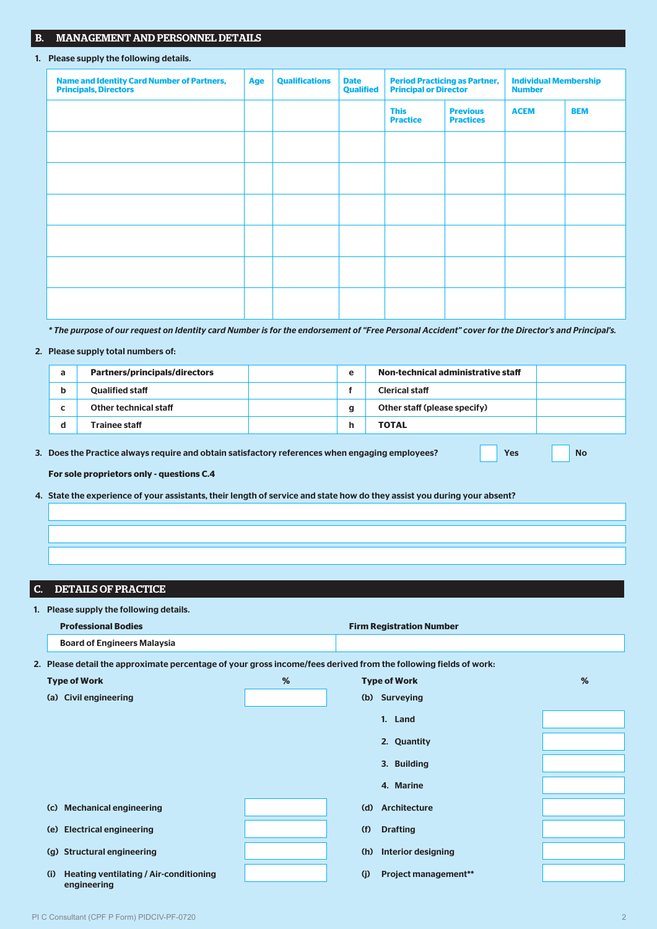## B. MANAGEMENT AND PERSONNEL DETAILS

#### 1. Please supply the following details.

| <b>Name and Identity Card Number of Partners,</b><br><b>Principals, Directors</b> | <b>Age</b> | <b>Qualifications</b> | <b>Date</b><br><b>Qualified</b> | <b>Period Practicing as Partner,</b><br><b>Principal or Director</b> |                                     | <b>Individual Membership</b><br><b>Number</b> |            |
|-----------------------------------------------------------------------------------|------------|-----------------------|---------------------------------|----------------------------------------------------------------------|-------------------------------------|-----------------------------------------------|------------|
|                                                                                   |            |                       |                                 | <b>This</b><br><b>Practice</b>                                       | <b>Previous</b><br><b>Practices</b> | <b>ACEM</b>                                   | <b>BEM</b> |
|                                                                                   |            |                       |                                 |                                                                      |                                     |                                               |            |
|                                                                                   |            |                       |                                 |                                                                      |                                     |                                               |            |
|                                                                                   |            |                       |                                 |                                                                      |                                     |                                               |            |
|                                                                                   |            |                       |                                 |                                                                      |                                     |                                               |            |
|                                                                                   |            |                       |                                 |                                                                      |                                     |                                               |            |
|                                                                                   |            |                       |                                 |                                                                      |                                     |                                               |            |

 *\* The purpose of our request on Identity card Number is for the endorsement of "Free Personal Accident" cover for the Director's and Principal's.*

## 2. Please supply total numbers of:

| а | <b>Partners/principals/directors</b> | e | Non-technical administrative staff |  |
|---|--------------------------------------|---|------------------------------------|--|
|   | <b>Qualified staff</b>               |   | <b>Clerical staff</b>              |  |
|   | Other technical staff                | g | Other staff (please specify)       |  |
|   | Trainee staff                        | h | <b>TOTAL</b>                       |  |

3. Does the Practice always require and obtain satisfactory references when engaging employees? Yes Yes No

**For sole proprietors only - questions C.4**

4. State the experience of your assistants, their length of service and state how do they assist you during your absent?

## C. DETAILS OF PRACTICE

| 1. Please supply the following details.                                                                          |   |                                    |   |
|------------------------------------------------------------------------------------------------------------------|---|------------------------------------|---|
| <b>Professional Bodies</b>                                                                                       |   | <b>Firm Registration Number</b>    |   |
| <b>Board of Engineers Malaysia</b>                                                                               |   |                                    |   |
| 2. Please detail the approximate percentage of your gross income/fees derived from the following fields of work: |   |                                    |   |
| <b>Type of Work</b>                                                                                              | % | <b>Type of Work</b>                | % |
| <b>Civil engineering</b><br>(a)                                                                                  |   | <b>Surveying</b><br>(b)            |   |
|                                                                                                                  |   | 1. Land                            |   |
|                                                                                                                  |   | 2. Quantity                        |   |
|                                                                                                                  |   | 3. Building                        |   |
|                                                                                                                  |   | 4. Marine                          |   |
| <b>Mechanical engineering</b><br>(c)                                                                             |   | <b>Architecture</b><br>(d)         |   |
| <b>Electrical engineering</b><br>(e)                                                                             |   | (f)<br><b>Drafting</b>             |   |
| <b>Structural engineering</b><br>(g)                                                                             |   | <b>Interior designing</b><br>(h)   |   |
| <b>Heating ventilating / Air-conditioning</b><br>(i)                                                             |   | (i)<br><b>Project management**</b> |   |

engineering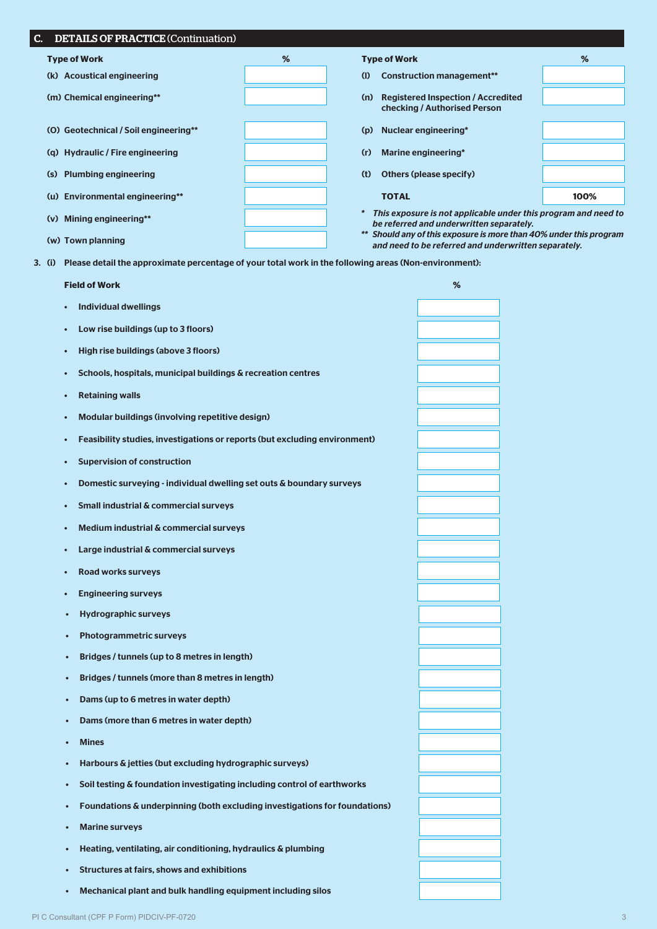| C.     | <b>DETAILS OF PRACTICE (Continuation)</b>                                                             |   |                             |                                                                                                                            |      |
|--------|-------------------------------------------------------------------------------------------------------|---|-----------------------------|----------------------------------------------------------------------------------------------------------------------------|------|
|        | <b>Type of Work</b>                                                                                   | % | <b>Type of Work</b>         |                                                                                                                            | %    |
|        | (k) Acoustical engineering                                                                            |   | (1)                         | <b>Construction management**</b>                                                                                           |      |
|        | (m) Chemical engineering**                                                                            |   | (n)                         | <b>Registered Inspection / Accredited</b><br>checking / Authorised Person                                                  |      |
|        | (O) Geotechnical / Soil engineering**                                                                 |   | Nuclear engineering*<br>(p) |                                                                                                                            |      |
|        | (q) Hydraulic / Fire engineering                                                                      |   | (r)                         | Marine engineering*                                                                                                        |      |
|        | (s) Plumbing engineering                                                                              |   | (t)                         | <b>Others (please specify)</b>                                                                                             |      |
|        | (u) Environmental engineering**                                                                       |   | <b>TOTAL</b>                |                                                                                                                            | 100% |
|        | (v) Mining engineering**                                                                              |   | $\ast$                      | This exposure is not applicable under this program and need to<br>be referred and underwritten separately.                 |      |
|        | (w) Town planning                                                                                     |   |                             | ** Should any of this exposure is more than 40% under this program<br>and need to be referred and underwritten separately. |      |
| 3. (i) | Please detail the approximate percentage of your total work in the following areas (Non-environment): |   |                             |                                                                                                                            |      |
|        | <b>Field of Work</b>                                                                                  |   |                             | %                                                                                                                          |      |
|        | <b>Individual dwellings</b><br>$\bullet$                                                              |   |                             |                                                                                                                            |      |
|        | Low rise buildings (up to 3 floors)<br>$\bullet$                                                      |   |                             |                                                                                                                            |      |
|        | High rise buildings (above 3 floors)                                                                  |   |                             |                                                                                                                            |      |
|        | Schools, hospitals, municipal buildings & recreation centres<br>$\bullet$                             |   |                             |                                                                                                                            |      |
|        | <b>Retaining walls</b><br>$\bullet$                                                                   |   |                             |                                                                                                                            |      |
|        | Modular buildings (involving repetitive design)                                                       |   |                             |                                                                                                                            |      |
|        | Feasibility studies, investigations or reports (but excluding environment)                            |   |                             |                                                                                                                            |      |
|        | <b>Supervision of construction</b><br>$\bullet$                                                       |   |                             |                                                                                                                            |      |
|        | Domestic surveying - individual dwelling set outs & boundary surveys                                  |   |                             |                                                                                                                            |      |
|        | <b>Small industrial &amp; commercial surveys</b>                                                      |   |                             |                                                                                                                            |      |
|        | Medium industrial & commercial surveys                                                                |   |                             |                                                                                                                            |      |
|        | Large industrial & commercial surveys<br>$\bullet$                                                    |   |                             |                                                                                                                            |      |
|        | <b>Road works surveys</b><br>$\bullet$                                                                |   |                             |                                                                                                                            |      |
|        | <b>Engineering surveys</b><br>$\bullet$                                                               |   |                             |                                                                                                                            |      |
|        | <b>Hydrographic surveys</b><br>$\bullet$                                                              |   |                             |                                                                                                                            |      |
|        | <b>Photogrammetric surveys</b><br>$\bullet$                                                           |   |                             |                                                                                                                            |      |
|        | Bridges / tunnels (up to 8 metres in length)<br>٠                                                     |   |                             |                                                                                                                            |      |
|        | Bridges / tunnels (more than 8 metres in length)<br>$\bullet$                                         |   |                             |                                                                                                                            |      |
|        | Dams (up to 6 metres in water depth)<br>$\bullet$                                                     |   |                             |                                                                                                                            |      |
|        | Dams (more than 6 metres in water depth)<br>$\bullet$                                                 |   |                             |                                                                                                                            |      |
|        | <b>Mines</b><br>$\bullet$                                                                             |   |                             |                                                                                                                            |      |
|        | Harbours & jetties (but excluding hydrographic surveys)<br>$\bullet$                                  |   |                             |                                                                                                                            |      |
|        | Soil testing & foundation investigating including control of earthworks<br>$\bullet$                  |   |                             |                                                                                                                            |      |
|        | Foundations & underpinning (both excluding investigations for foundations)<br>٠                       |   |                             |                                                                                                                            |      |
|        | <b>Marine surveys</b><br>$\bullet$                                                                    |   |                             |                                                                                                                            |      |
|        | Heating, ventilating, air conditioning, hydraulics & plumbing<br>٠                                    |   |                             |                                                                                                                            |      |
|        | <b>Structures at fairs, shows and exhibitions</b><br>$\bullet$                                        |   |                             |                                                                                                                            |      |

• Mechanical plant and bulk handling equipment including silos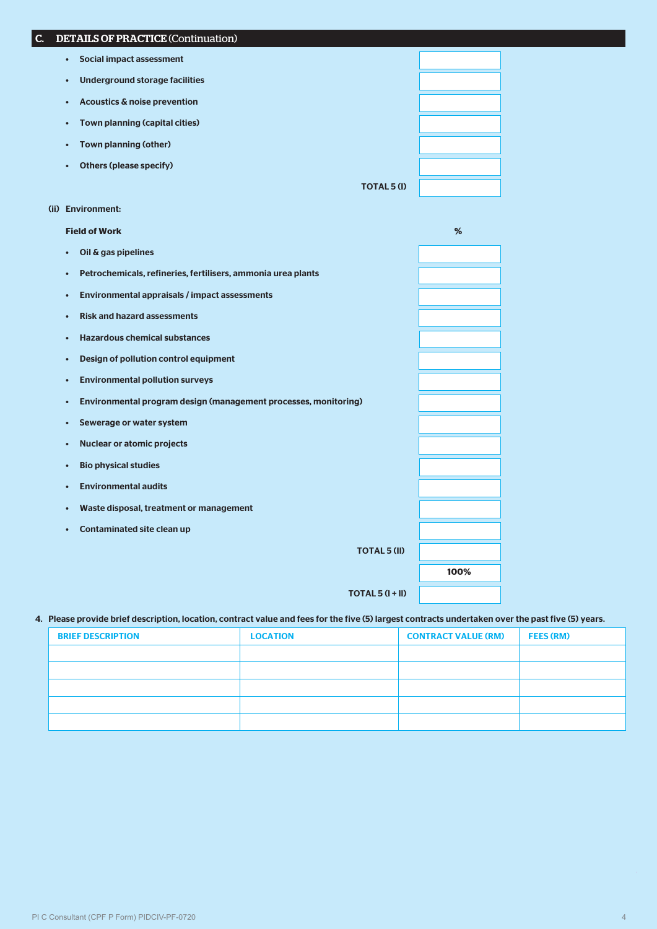| PI C Consultant (CPF P Form) PIDCIV-PF-0720 | 4 |
|---------------------------------------------|---|
|                                             |   |

| (ii) Environment:                                                            |      |
|------------------------------------------------------------------------------|------|
| <b>Field of Work</b>                                                         | %    |
| Oil & gas pipelines<br>$\bullet$                                             |      |
| Petrochemicals, refineries, fertilisers, ammonia urea plants<br>$\bullet$    |      |
| Environmental appraisals / impact assessments<br>$\bullet$                   |      |
| <b>Risk and hazard assessments</b><br>$\bullet$                              |      |
| <b>Hazardous chemical substances</b><br>$\bullet$                            |      |
| Design of pollution control equipment<br>$\bullet$                           |      |
| <b>Environmental pollution surveys</b><br>$\bullet$                          |      |
| Environmental program design (management processes, monitoring)<br>$\bullet$ |      |
| Sewerage or water system<br>$\bullet$                                        |      |
| <b>Nuclear or atomic projects</b><br>$\bullet$                               |      |
| <b>Bio physical studies</b><br>$\bullet$                                     |      |
| <b>Environmental audits</b><br>$\bullet$                                     |      |
| Waste disposal, treatment or management<br>$\bullet$                         |      |
| <b>Contaminated site clean up</b><br>$\bullet$                               |      |
| <b>TOTAL 5 (II)</b>                                                          |      |
|                                                                              | 100% |
| $TOTAL 5 (I + II)$                                                           |      |
|                                                                              |      |

# 4. Please provide brief description, location, contract value and fees for the five (5) largest contracts undertaken over the past five (5) years.

| <b>BRIEF DESCRIPTION</b> | <b>LOCATION</b> | <b>CONTRACT VALUE (RM)</b> | <b>FEES (RM)</b> |
|--------------------------|-----------------|----------------------------|------------------|
|                          |                 |                            |                  |
|                          |                 |                            |                  |
|                          |                 |                            |                  |
|                          |                 |                            |                  |
|                          |                 |                            |                  |

| <b>C. DETAILS OF PRACTICE (Continuation)</b> |
|----------------------------------------------|

- Social impact assessment
- Underground storage facilities
- Acoustics & noise prevention
- Town planning (capital cities)
- Town planning (other)
- Others (please specify)

TOTAL 5 (I)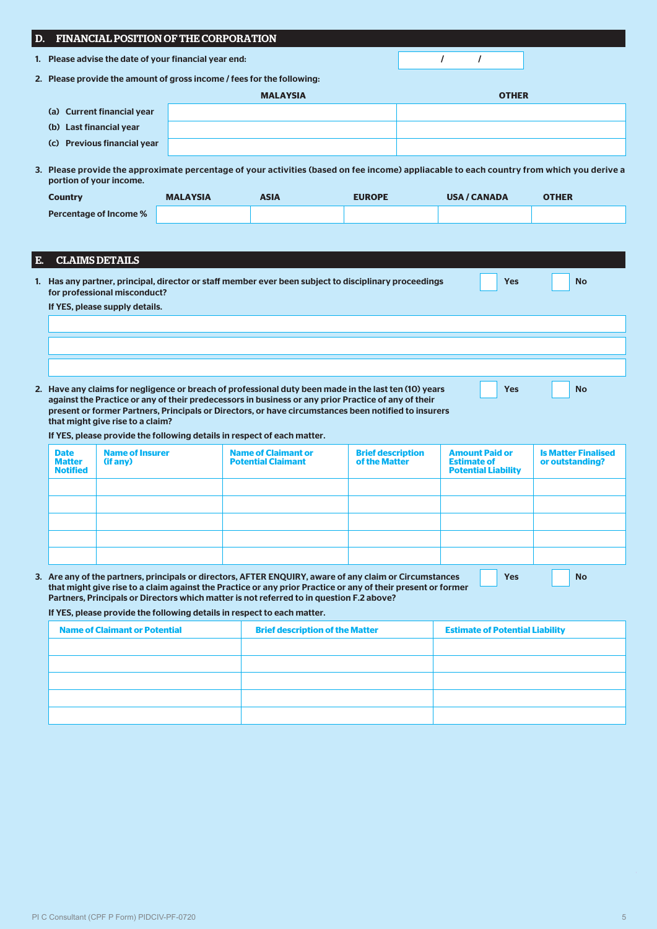|    | D.                                                                            |                                      | FINANCIAL POSITION OF THE CORPORATION                                                    |                                                         |                                                                                                                                                                                                              |                                                                           |                                                                                                                                           |  |  |  |  |
|----|-------------------------------------------------------------------------------|--------------------------------------|------------------------------------------------------------------------------------------|---------------------------------------------------------|--------------------------------------------------------------------------------------------------------------------------------------------------------------------------------------------------------------|---------------------------------------------------------------------------|-------------------------------------------------------------------------------------------------------------------------------------------|--|--|--|--|
|    | 1. Please advise the date of your financial year end:<br>$\prime$<br>$\prime$ |                                      |                                                                                          |                                                         |                                                                                                                                                                                                              |                                                                           |                                                                                                                                           |  |  |  |  |
|    | 2. Please provide the amount of gross income / fees for the following:        |                                      |                                                                                          |                                                         |                                                                                                                                                                                                              |                                                                           |                                                                                                                                           |  |  |  |  |
|    | <b>MALAYSIA</b><br><b>OTHER</b>                                               |                                      |                                                                                          |                                                         |                                                                                                                                                                                                              |                                                                           |                                                                                                                                           |  |  |  |  |
|    |                                                                               | (a) Current financial year           |                                                                                          |                                                         |                                                                                                                                                                                                              |                                                                           |                                                                                                                                           |  |  |  |  |
|    | (b) Last financial year                                                       |                                      |                                                                                          |                                                         |                                                                                                                                                                                                              |                                                                           |                                                                                                                                           |  |  |  |  |
|    |                                                                               | (c) Previous financial year          |                                                                                          |                                                         |                                                                                                                                                                                                              |                                                                           |                                                                                                                                           |  |  |  |  |
|    | portion of your income.                                                       |                                      |                                                                                          |                                                         |                                                                                                                                                                                                              |                                                                           | 3. Please provide the approximate percentage of your activities (based on fee income) appliacable to each country from which you derive a |  |  |  |  |
|    | <b>Country</b>                                                                |                                      | <b>MALAYSIA</b>                                                                          | <b>ASIA</b>                                             | <b>EUROPE</b>                                                                                                                                                                                                | <b>USA / CANADA</b>                                                       | <b>OTHER</b>                                                                                                                              |  |  |  |  |
|    |                                                                               | <b>Percentage of Income %</b>        |                                                                                          |                                                         |                                                                                                                                                                                                              |                                                                           |                                                                                                                                           |  |  |  |  |
|    |                                                                               |                                      |                                                                                          |                                                         |                                                                                                                                                                                                              |                                                                           |                                                                                                                                           |  |  |  |  |
| Е. |                                                                               | <b>CLAIMS DETAILS</b>                |                                                                                          |                                                         |                                                                                                                                                                                                              |                                                                           |                                                                                                                                           |  |  |  |  |
|    |                                                                               |                                      |                                                                                          |                                                         |                                                                                                                                                                                                              |                                                                           |                                                                                                                                           |  |  |  |  |
|    |                                                                               | for professional misconduct?         |                                                                                          |                                                         | 1. Has any partner, principal, director or staff member ever been subject to disciplinary proceedings                                                                                                        | Yes                                                                       | <b>No</b>                                                                                                                                 |  |  |  |  |
|    |                                                                               | If YES, please supply details.       |                                                                                          |                                                         |                                                                                                                                                                                                              |                                                                           |                                                                                                                                           |  |  |  |  |
|    |                                                                               |                                      |                                                                                          |                                                         |                                                                                                                                                                                                              |                                                                           |                                                                                                                                           |  |  |  |  |
|    |                                                                               |                                      |                                                                                          |                                                         |                                                                                                                                                                                                              |                                                                           |                                                                                                                                           |  |  |  |  |
|    |                                                                               |                                      |                                                                                          |                                                         |                                                                                                                                                                                                              |                                                                           |                                                                                                                                           |  |  |  |  |
|    |                                                                               |                                      |                                                                                          |                                                         |                                                                                                                                                                                                              |                                                                           |                                                                                                                                           |  |  |  |  |
|    |                                                                               |                                      |                                                                                          |                                                         |                                                                                                                                                                                                              |                                                                           |                                                                                                                                           |  |  |  |  |
|    |                                                                               |                                      |                                                                                          |                                                         | 2. Have any claims for negligence or breach of professional duty been made in the last ten (10) years<br>against the Practice or any of their predecessors in business or any prior Practice of any of their | <b>Yes</b>                                                                | <b>No</b>                                                                                                                                 |  |  |  |  |
|    |                                                                               | that might give rise to a claim?     |                                                                                          |                                                         | present or former Partners, Principals or Directors, or have circumstances been notified to insurers                                                                                                         |                                                                           |                                                                                                                                           |  |  |  |  |
|    |                                                                               |                                      | If YES, please provide the following details in respect of each matter.                  |                                                         |                                                                                                                                                                                                              |                                                                           |                                                                                                                                           |  |  |  |  |
|    | <b>Date</b><br><b>Matter</b><br><b>Notified</b>                               | <b>Name of Insurer</b><br>(if any)   |                                                                                          | <b>Name of Claimant or</b><br><b>Potential Claimant</b> | <b>Brief description</b><br>of the Matter                                                                                                                                                                    | <b>Amount Paid or</b><br><b>Estimate of</b><br><b>Potential Liability</b> | <b>Is Matter Finalised</b><br>or outstanding?                                                                                             |  |  |  |  |
|    |                                                                               |                                      |                                                                                          |                                                         |                                                                                                                                                                                                              |                                                                           |                                                                                                                                           |  |  |  |  |
|    |                                                                               |                                      |                                                                                          |                                                         |                                                                                                                                                                                                              |                                                                           |                                                                                                                                           |  |  |  |  |
|    |                                                                               |                                      |                                                                                          |                                                         |                                                                                                                                                                                                              |                                                                           |                                                                                                                                           |  |  |  |  |
|    |                                                                               |                                      |                                                                                          |                                                         |                                                                                                                                                                                                              |                                                                           |                                                                                                                                           |  |  |  |  |
|    |                                                                               |                                      |                                                                                          |                                                         |                                                                                                                                                                                                              |                                                                           |                                                                                                                                           |  |  |  |  |
|    |                                                                               |                                      |                                                                                          |                                                         | 3. Are any of the partners, principals or directors, AFTER ENQUIRY, aware of any claim or Circumstances                                                                                                      | <b>Yes</b>                                                                | <b>No</b>                                                                                                                                 |  |  |  |  |
|    |                                                                               |                                      | Partners, Principals or Directors which matter is not referred to in question F.2 above? |                                                         | that might give rise to a claim against the Practice or any prior Practice or any of their present or former                                                                                                 |                                                                           |                                                                                                                                           |  |  |  |  |
|    |                                                                               |                                      | If YES, please provide the following details in respect to each matter.                  |                                                         |                                                                                                                                                                                                              |                                                                           |                                                                                                                                           |  |  |  |  |
|    |                                                                               | <b>Name of Claimant or Potential</b> |                                                                                          | <b>Brief description of the Matter</b>                  |                                                                                                                                                                                                              | <b>Estimate of Potential Liability</b>                                    |                                                                                                                                           |  |  |  |  |
|    |                                                                               |                                      |                                                                                          |                                                         |                                                                                                                                                                                                              |                                                                           |                                                                                                                                           |  |  |  |  |
|    |                                                                               |                                      |                                                                                          |                                                         |                                                                                                                                                                                                              |                                                                           |                                                                                                                                           |  |  |  |  |
|    |                                                                               |                                      |                                                                                          |                                                         |                                                                                                                                                                                                              |                                                                           |                                                                                                                                           |  |  |  |  |
|    |                                                                               |                                      |                                                                                          |                                                         |                                                                                                                                                                                                              |                                                                           |                                                                                                                                           |  |  |  |  |

à.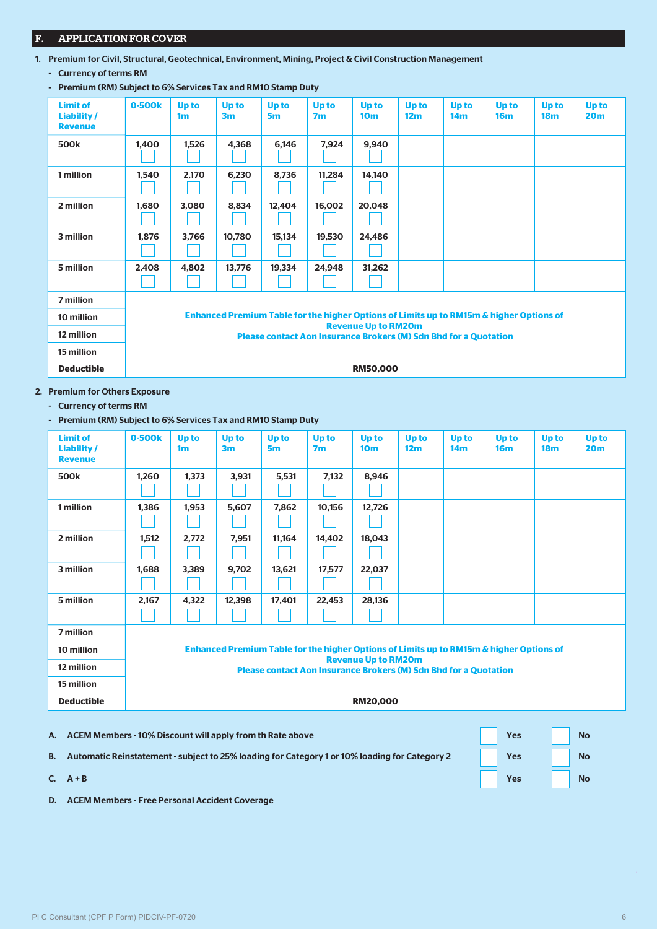# F. APPLICATION FOR COVER

- 1. Premium for Civil, Structural, Geotechnical, Environment, Mining, Project & Civil Construction Management
	- Currency of terms RM
	- Premium (RM) Subject to 6% Services Tax and RM10 Stamp Duty

| <b>Limit of</b><br>Liability/<br><b>Revenue</b> | 0-500k | Up to<br>1 <sub>m</sub> | <b>Up to</b><br>3 <sub>m</sub> | Up to<br>5m | Up to<br>7 <sub>m</sub> | Up to<br>10 <sub>m</sub>   | <b>Up to</b><br>12 <sub>m</sub> | Up to<br>14 <sub>m</sub>                                                                           | Up to<br>16 <sub>m</sub> | <b>Up to</b><br>18 <sub>m</sub> | <b>Up to</b><br>20 <sub>m</sub> |
|-------------------------------------------------|--------|-------------------------|--------------------------------|-------------|-------------------------|----------------------------|---------------------------------|----------------------------------------------------------------------------------------------------|--------------------------|---------------------------------|---------------------------------|
| 500 <sub>k</sub>                                | 1,400  | 1,526                   | 4,368                          | 6,146       | 7,924                   | 9,940                      |                                 |                                                                                                    |                          |                                 |                                 |
| 1 million                                       | 1,540  | 2,170                   | 6,230                          | 8,736       | 11,284                  | 14,140                     |                                 |                                                                                                    |                          |                                 |                                 |
| 2 million                                       | 1,680  | 3,080                   | 8,834                          | 12,404      | 16,002                  | 20,048                     |                                 |                                                                                                    |                          |                                 |                                 |
| 3 million                                       | 1,876  | 3,766                   | 10,780                         | 15,134      | 19,530                  | 24,486                     |                                 |                                                                                                    |                          |                                 |                                 |
| 5 million                                       | 2,408  | 4,802                   | 13,776                         | 19,334      | 24,948                  | 31,262                     |                                 |                                                                                                    |                          |                                 |                                 |
| 7 million                                       |        |                         |                                |             |                         |                            |                                 |                                                                                                    |                          |                                 |                                 |
| 10 million                                      |        |                         |                                |             |                         | <b>Revenue Up to RM20m</b> |                                 | <b>Enhanced Premium Table for the higher Options of Limits up to RM15m &amp; higher Options of</b> |                          |                                 |                                 |
| 12 million                                      |        |                         |                                |             |                         |                            |                                 | <b>Please contact Aon Insurance Brokers (M) Sdn Bhd for a Quotation</b>                            |                          |                                 |                                 |
| 15 million                                      |        |                         |                                |             |                         |                            |                                 |                                                                                                    |                          |                                 |                                 |
| <b>Deductible</b>                               |        |                         |                                |             |                         | <b>RM50,000</b>            |                                 |                                                                                                    |                          |                                 |                                 |

- 2. Premium for Others Exposure
	- Currency of terms RM
	- Premium (RM) Subject to 6% Services Tax and RM10 Stamp Duty

| <b>Limit of</b><br><b>Liability /</b><br><b>Revenue</b> | 0-500k | Up to<br>1 <sub>m</sub>                                                                                                                                                                          | <b>Up to</b><br>3 <sub>m</sub> | <b>Up to</b><br>5m | Up to<br>7 <sub>m</sub> | <b>Up to</b><br>10 <sub>m</sub> | <b>Up to</b><br>12 <sub>m</sub> | Up to<br>14 <sub>m</sub> | Up to<br>16 <sub>m</sub> | <b>Up to</b><br>18 <sub>m</sub> | <b>Up to</b><br>20 <sub>m</sub> |
|---------------------------------------------------------|--------|--------------------------------------------------------------------------------------------------------------------------------------------------------------------------------------------------|--------------------------------|--------------------|-------------------------|---------------------------------|---------------------------------|--------------------------|--------------------------|---------------------------------|---------------------------------|
| 500k                                                    | 1,260  | 1,373                                                                                                                                                                                            | 3,931                          | 5,531              | 7,132                   | 8,946                           |                                 |                          |                          |                                 |                                 |
| 1 million                                               | 1,386  | 1,953                                                                                                                                                                                            | 5,607                          | 7,862              | 10,156                  | 12,726                          |                                 |                          |                          |                                 |                                 |
| 2 million                                               | 1,512  | 2,772                                                                                                                                                                                            | 7,951                          | 11,164             | 14,402                  | 18,043                          |                                 |                          |                          |                                 |                                 |
| 3 million                                               | 1.688  | 3,389                                                                                                                                                                                            | 9,702                          | 13,621             | 17,577                  | 22,037                          |                                 |                          |                          |                                 |                                 |
| 5 million                                               | 2,167  | 4,322                                                                                                                                                                                            | 12,398                         | 17,401             | 22,453                  | 28,136                          |                                 |                          |                          |                                 |                                 |
| 7 million                                               |        |                                                                                                                                                                                                  |                                |                    |                         |                                 |                                 |                          |                          |                                 |                                 |
| 10 million                                              |        | Enhanced Premium Table for the higher Options of Limits up to RM15m & higher Options of<br><b>Revenue Up to RM20m</b><br><b>Please contact Aon Insurance Brokers (M) Sdn Bhd for a Quotation</b> |                                |                    |                         |                                 |                                 |                          |                          |                                 |                                 |
| 12 million                                              |        |                                                                                                                                                                                                  |                                |                    |                         |                                 |                                 |                          |                          |                                 |                                 |
| 15 million                                              |        |                                                                                                                                                                                                  |                                |                    |                         |                                 |                                 |                          |                          |                                 |                                 |
| <b>Deductible</b>                                       |        | <b>RM20,000</b>                                                                                                                                                                                  |                                |                    |                         |                                 |                                 |                          |                          |                                 |                                 |

- A. ACEM Members 10% Discount will apply from th Rate above Yes No B. Automatic Reinstatement - subject to 25% loading for Category 1 or 10% loading for Category 2 Yes No
- C. A + B Yes No. 2014 The Second Contract of the Second Contract of the Second Contract of the Second Contract of the Second Contract of the Second Contract of the Second Contract of the Second Contract of the Second Contr
	- D. ACEM Members Free Personal Accident Coverage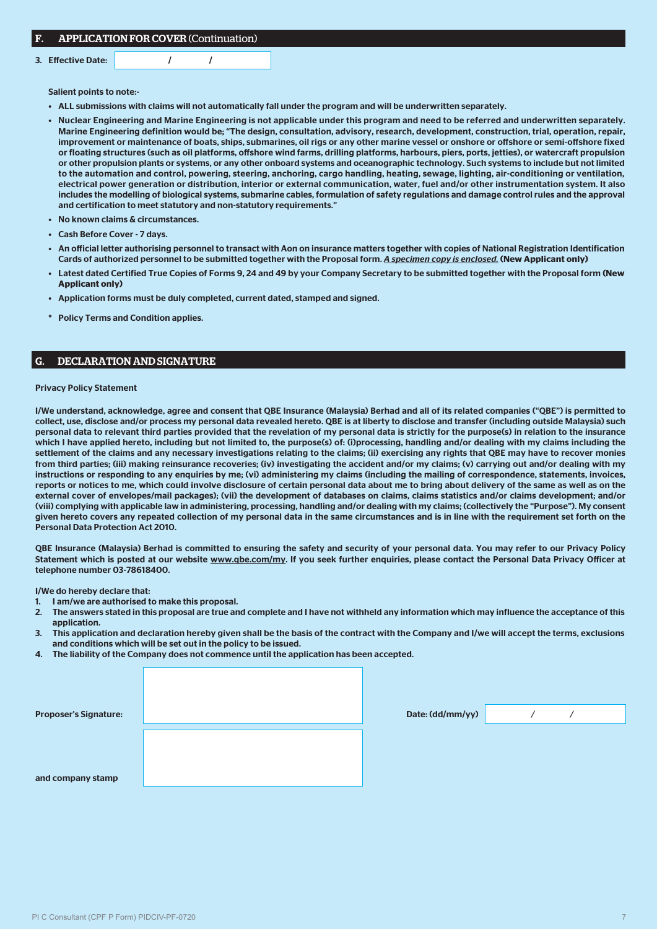| F. | <b>APPLICATION FOR COVER (Continuation)</b> |
|----|---------------------------------------------|
|----|---------------------------------------------|

3. Effective Date:  $\sqrt{2}$  /

Salient points to note:-

- ALL submissions with claims will not automatically fall under the program and will be underwritten separately.
- Nuclear Engineering and Marine Engineering is not applicable under this program and need to be referred and underwritten separately. Marine Engineering definition would be; "The design, consultation, advisory, research, development, construction, trial, operation, repair, improvement or maintenance of boats, ships, submarines, oil rigs or any other marine vessel or onshore or offshore or semi-offshore fixed or floating structures (such as oil platforms, offshore wind farms, drilling platforms, harbours, piers, ports, jetties), or watercraft propulsion or other propulsion plants or systems, or any other onboard systems and oceanographic technology. Such systems to include but not limited to the automation and control, powering, steering, anchoring, cargo handling, heating, sewage, lighting, air-conditioning or ventilation, electrical power generation or distribution, interior or external communication, water, fuel and/or other instrumentation system. It also includes the modelling of biological systems, submarine cables, formulation of safety regulations and damage control rules and the approval and certification to meet statutory and non-statutory requirements."
- No known claims & circumstances.
- Cash Before Cover 7 days.
- An official letter authorising personnel to transact with Aon on insurance matters together with copies of National Registration Identification Cards of authorized personnel to be submitted together with the Proposal form. *A specimen copy is enclosed.* **(New Applicant only)**
- Latest dated Certified True Copies of Forms 9, 24 and 49 by your Company Secretary to be submitted together with the Proposal form **(New Applicant only)**
- Application forms must be duly completed, current dated, stamped and signed.
- Policy Terms and Condition applies.

#### G. DECLARATION AND SIGNATURE

#### Privacy Policy Statement

I/We understand, acknowledge, agree and consent that QBE Insurance (Malaysia) Berhad and all of its related companies ("QBE") is permitted to collect, use, disclose and/or process my personal data revealed hereto. QBE is at liberty to disclose and transfer (including outside Malaysia) such personal data to relevant third parties provided that the revelation of my personal data is strictly for the purpose(s) in relation to the insurance which I have applied hereto, including but not limited to, the purpose(s) of: (i)processing, handling and/or dealing with my claims including the settlement of the claims and any necessary investigations relating to the claims; (ii) exercising any rights that QBE may have to recover monies from third parties; (iii) making reinsurance recoveries; (iv) investigating the accident and/or my claims; (v) carrying out and/or dealing with my instructions or responding to any enquiries by me; (vi) administering my claims (including the mailing of correspondence, statements, invoices, reports or notices to me, which could involve disclosure of certain personal data about me to bring about delivery of the same as well as on the external cover of envelopes/mail packages); (vii) the development of databases on claims, claims statistics and/or claims development; and/or (viii) complying with applicable law in administering, processing, handling and/or dealing with my claims; (collectively the "Purpose"). My consent given hereto covers any repeated collection of my personal data in the same circumstances and is in line with the requirement set forth on the Personal Data Protection Act 2010.

QBE Insurance (Malaysia) Berhad is committed to ensuring the safety and security of your personal data. You may refer to our Privacy Policy Statement which is posted at our website www.qbe.com/my. If you seek further enquiries, please contact the Personal Data Privacy Officer at telephone number 03-78618400.

I/We do hereby declare that:

- 1. I am/we are authorised to make this proposal.
- 2. The answers stated in this proposal are true and complete and I have not withheld any information which may influence the acceptance of this application.
- 3. This application and declaration hereby given shall be the basis of the contract with the Company and I/we will accept the terms, exclusions and conditions which will be set out in the policy to be issued.
- 4. The liability of the Company does not commence until the application has been accepted.

| <b>Proposer's Signature:</b> | Date: (dd/mm/yy) |  |  |
|------------------------------|------------------|--|--|
|                              |                  |  |  |
|                              |                  |  |  |
| and company stamp            |                  |  |  |
|                              |                  |  |  |